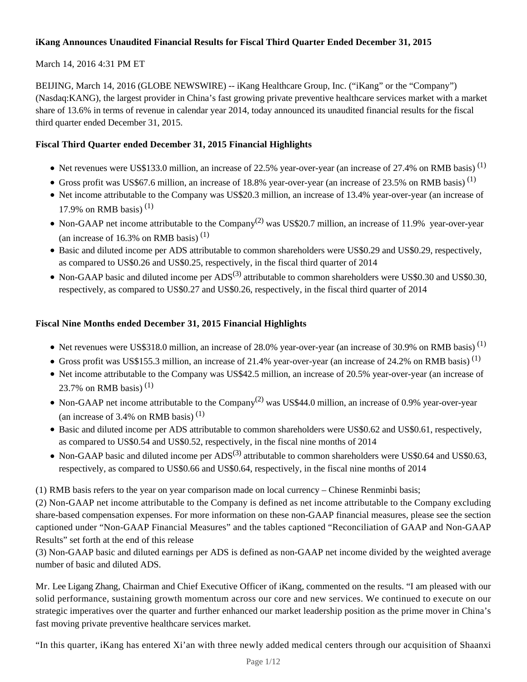# **iKang Announces Unaudited Financial Results for Fiscal Third Quarter Ended December 31, 2015**

# March 14, 2016 4:31 PM ET

BEIJING, March 14, 2016 (GLOBE NEWSWIRE) -- iKang Healthcare Group, Inc. ("iKang" or the "Company") (Nasdaq:KANG), the largest provider in China's fast growing private preventive healthcare services market with a market share of 13.6% in terms of revenue in calendar year 2014, today announced its unaudited financial results for the fiscal third quarter ended December 31, 2015.

# **Fiscal Third Quarter ended December 31, 2015 Financial Highlights**

- $\bullet$  Net revenues were US\$133.0 million, an increase of 22.5% year-over-year (an increase of 27.4% on RMB basis)<sup>(1)</sup>
- Gross profit was US\$67.6 million, an increase of 18.8% year-over-year (an increase of 23.5% on RMB basis)<sup>(1)</sup>
- Net income attributable to the Company was US\$20.3 million, an increase of 13.4% year-over-year (an increase of 17.9% on RMB basis)<sup>(1)</sup>
- Non-GAAP net income attributable to the Company<sup>(2)</sup> was US\$20.7 million, an increase of 11.9% year-over-year (an increase of 16.3% on RMB basis)<sup>(1)</sup>
- Basic and diluted income per ADS attributable to common shareholders were US\$0.29 and US\$0.29, respectively, as compared to US\$0.26 and US\$0.25, respectively, in the fiscal third quarter of 2014
- Non-GAAP basic and diluted income per  $ADS^{(3)}$  attributable to common shareholders were US\$0.30 and US\$0.30, respectively, as compared to US\$0.27 and US\$0.26, respectively, in the fiscal third quarter of 2014

# **Fiscal Nine Months ended December 31, 2015 Financial Highlights**

- Net revenues were US\$318.0 million, an increase of 28.0% year-over-year (an increase of 30.9% on RMB basis)<sup>(1)</sup>
- Gross profit was US\$155.3 million, an increase of 21.4% year-over-year (an increase of 24.2% on RMB basis)<sup>(1)</sup>
- Net income attributable to the Company was US\$42.5 million, an increase of 20.5% year-over-year (an increase of 23.7% on RMB basis)<sup>(1)</sup>
- Non-GAAP net income attributable to the Company<sup>(2)</sup> was US\$44.0 million, an increase of 0.9% year-over-year (an increase of 3.4% on RMB basis)<sup>(1)</sup>
- Basic and diluted income per ADS attributable to common shareholders were US\$0.62 and US\$0.61, respectively, as compared to US\$0.54 and US\$0.52, respectively, in the fiscal nine months of 2014
- Non-GAAP basic and diluted income per  $ADS^{(3)}$  attributable to common shareholders were US\$0.64 and US\$0.63, respectively, as compared to US\$0.66 and US\$0.64, respectively, in the fiscal nine months of 2014

(1) RMB basis refers to the year on year comparison made on local currency – Chinese Renminbi basis;

(2) Non-GAAP net income attributable to the Company is defined as net income attributable to the Company excluding share-based compensation expenses. For more information on these non-GAAP financial measures, please see the section captioned under "Non-GAAP Financial Measures" and the tables captioned "Reconciliation of GAAP and Non-GAAP Results" set forth at the end of this release

(3) Non-GAAP basic and diluted earnings per ADS is defined as non-GAAP net income divided by the weighted average number of basic and diluted ADS.

Mr. Lee Ligang Zhang, Chairman and Chief Executive Officer of iKang, commented on the results. "I am pleased with our solid performance, sustaining growth momentum across our core and new services. We continued to execute on our strategic imperatives over the quarter and further enhanced our market leadership position as the prime mover in China's fast moving private preventive healthcare services market.

"In this quarter, iKang has entered Xi'an with three newly added medical centers through our acquisition of Shaanxi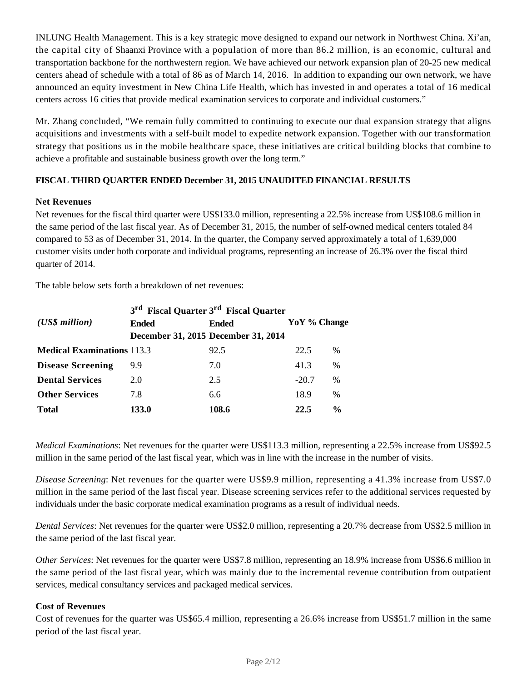INLUNG Health Management. This is a key strategic move designed to expand our network in Northwest China. Xi'an, the capital city of Shaanxi Province with a population of more than 86.2 million, is an economic, cultural and transportation backbone for the northwestern region. We have achieved our network expansion plan of 20-25 new medical centers ahead of schedule with a total of 86 as of March 14, 2016. In addition to expanding our own network, we have announced an equity investment in New China Life Health, which has invested in and operates a total of 16 medical centers across 16 cities that provide medical examination services to corporate and individual customers."

Mr. Zhang concluded, "We remain fully committed to continuing to execute our dual expansion strategy that aligns acquisitions and investments with a self-built model to expedite network expansion. Together with our transformation strategy that positions us in the mobile healthcare space, these initiatives are critical building blocks that combine to achieve a profitable and sustainable business growth over the long term."

# **FISCAL THIRD QUARTER ENDED December 31, 2015 UNAUDITED FINANCIAL RESULTS**

### **Net Revenues**

Net revenues for the fiscal third quarter were US\$133.0 million, representing a 22.5% increase from US\$108.6 million in the same period of the last fiscal year*.* As of December 31, 2015, the number of self-owned medical centers totaled 84 compared to 53 as of December 31, 2014. In the quarter, the Company served approximately a total of 1,639,000 customer visits under both corporate and individual programs, representing an increase of 26.3% over the fiscal third quarter of 2014.

The table below sets forth a breakdown of net revenues:

|                                   | 3 <sup>rd</sup> Fiscal Quarter 3 <sup>rd</sup> Fiscal Quarter |                                     |              |               |
|-----------------------------------|---------------------------------------------------------------|-------------------------------------|--------------|---------------|
| $(US\$ s million                  | Ended                                                         | <b>Ended</b>                        | YoY % Change |               |
|                                   |                                                               | December 31, 2015 December 31, 2014 |              |               |
| <b>Medical Examinations 113.3</b> |                                                               | 92.5                                | 22.5         | $\%$          |
| <b>Disease Screening</b>          | 9.9                                                           | 7.0                                 | 41.3         | $\%$          |
| <b>Dental Services</b>            | 2.0                                                           | 2.5                                 | $-20.7$      | $\%$          |
| <b>Other Services</b>             | 7.8                                                           | 6.6                                 | 18.9         | $\frac{0}{0}$ |
| <b>Total</b>                      | 133.0                                                         | 108.6                               | 22.5         | $\frac{6}{9}$ |

*Medical Examinations*: Net revenues for the quarter were US\$113.3 million, representing a 22.5% increase from US\$92.5 million in the same period of the last fiscal year, which was in line with the increase in the number of visits.

*Disease Screening*: Net revenues for the quarter were US\$9.9 million, representing a 41.3% increase from US\$7.0 million in the same period of the last fiscal year. Disease screening services refer to the additional services requested by individuals under the basic corporate medical examination programs as a result of individual needs.

*Dental Services*: Net revenues for the quarter were US\$2.0 million, representing a 20.7% decrease from US\$2.5 million in the same period of the last fiscal year.

*Other Services*: Net revenues for the quarter were US\$7.8 million, representing an 18.9% increase from US\$6.6 million in the same period of the last fiscal year, which was mainly due to the incremental revenue contribution from outpatient services, medical consultancy services and packaged medical services.

## **Cost of Revenues**

Cost of revenues for the quarter was US\$65.4 million, representing a 26.6% increase from US\$51.7 million in the same period of the last fiscal year.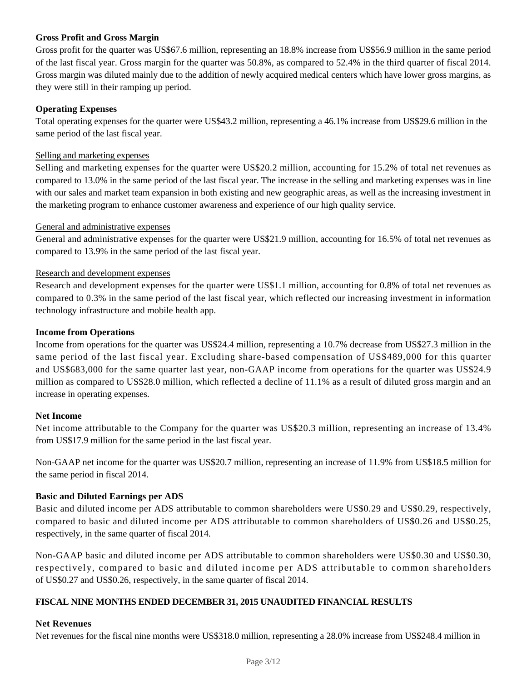### **Gross Profit and Gross Margin**

Gross profit for the quarter was US\$67.6 million, representing an 18.8% increase from US\$56.9 million in the same period of the last fiscal year. Gross margin for the quarter was 50.8%, as compared to 52.4% in the third quarter of fiscal 2014. Gross margin was diluted mainly due to the addition of newly acquired medical centers which have lower gross margins, as they were still in their ramping up period.

### **Operating Expenses**

Total operating expenses for the quarter were US\$43.2 million, representing a 46.1% increase from US\$29.6 million in the same period of the last fiscal year.

#### Selling and marketing expenses

Selling and marketing expenses for the quarter were US\$20.2 million, accounting for 15.2% of total net revenues as compared to 13.0% in the same period of the last fiscal year. The increase in the selling and marketing expenses was in line with our sales and market team expansion in both existing and new geographic areas, as well as the increasing investment in the marketing program to enhance customer awareness and experience of our high quality service.

#### General and administrative expenses

General and administrative expenses for the quarter were US\$21.9 million, accounting for 16.5% of total net revenues as compared to 13.9% in the same period of the last fiscal year.

#### Research and development expenses

Research and development expenses for the quarter were US\$1.1 million, accounting for 0.8% of total net revenues as compared to 0.3% in the same period of the last fiscal year, which reflected our increasing investment in information technology infrastructure and mobile health app.

#### **Income from Operations**

Income from operations for the quarter was US\$24.4 million, representing a 10.7% decrease from US\$27.3 million in the same period of the last fiscal year. Excluding share-based compensation of US\$489,000 for this quarter and US\$683,000 for the same quarter last year, non-GAAP income from operations for the quarter was US\$24.9 million as compared to US\$28.0 million, which reflected a decline of 11.1% as a result of diluted gross margin and an increase in operating expenses.

#### **Net Income**

Net income attributable to the Company for the quarter was US\$20.3 million, representing an increase of 13.4% from US\$17.9 million for the same period in the last fiscal year.

Non-GAAP net income for the quarter was US\$20.7 million, representing an increase of 11.9% from US\$18.5 million for the same period in fiscal 2014.

#### **Basic and Diluted Earnings per ADS**

Basic and diluted income per ADS attributable to common shareholders were US\$0.29 and US\$0.29, respectively, compared to basic and diluted income per ADS attributable to common shareholders of US\$0.26 and US\$0.25, respectively, in the same quarter of fiscal 2014.

Non-GAAP basic and diluted income per ADS attributable to common shareholders were US\$0.30 and US\$0.30, respectively, compared to basic and diluted income per ADS attributable to common shareholders of US\$0.27 and US\$0.26, respectively, in the same quarter of fiscal 2014.

#### **FISCAL NINE MONTHS ENDED DECEMBER 31, 2015 UNAUDITED FINANCIAL RESULTS**

#### **Net Revenues**

Net revenues for the fiscal nine months were US\$318.0 million, representing a 28.0% increase from US\$248.4 million in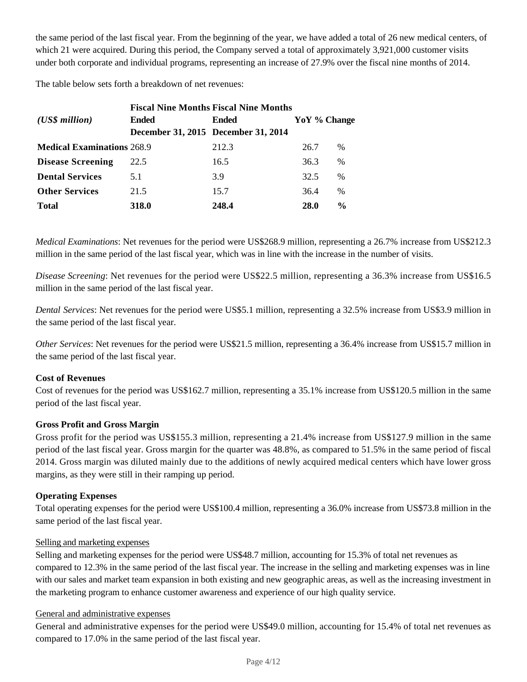the same period of the last fiscal year. From the beginning of the year, we have added a total of 26 new medical centers, of which 21 were acquired. During this period, the Company served a total of approximately 3,921,000 customer visits under both corporate and individual programs, representing an increase of 27.9% over the fiscal nine months of 2014.

The table below sets forth a breakdown of net revenues:

| <b>Fiscal Nine Months Fiscal Nine Months</b> |                                     |              |              |               |  |
|----------------------------------------------|-------------------------------------|--------------|--------------|---------------|--|
| $(US\$ s million                             | Ended                               | <b>Ended</b> | YoY % Change |               |  |
|                                              | December 31, 2015 December 31, 2014 |              |              |               |  |
| <b>Medical Examinations 268.9</b>            |                                     | 212.3        | 26.7         | $\frac{0}{0}$ |  |
| <b>Disease Screening</b>                     | 22.5                                | 16.5         | 36.3         | $\%$          |  |
| <b>Dental Services</b>                       | 5.1                                 | 3.9          | 32.5         | $\frac{0}{0}$ |  |
| <b>Other Services</b>                        | 21.5                                | 15.7         | 36.4         | $\frac{0}{0}$ |  |
| <b>Total</b>                                 | 318.0                               | 248.4        | <b>28.0</b>  | $\frac{0}{0}$ |  |

*Medical Examinations*: Net revenues for the period were US\$268.9 million, representing a 26.7% increase from US\$212.3 million in the same period of the last fiscal year, which was in line with the increase in the number of visits.

*Disease Screening*: Net revenues for the period were US\$22.5 million, representing a 36.3% increase from US\$16.5 million in the same period of the last fiscal year.

*Dental Services*: Net revenues for the period were US\$5.1 million, representing a 32.5% increase from US\$3.9 million in the same period of the last fiscal year.

*Other Services*: Net revenues for the period were US\$21.5 million, representing a 36.4% increase from US\$15.7 million in the same period of the last fiscal year.

#### **Cost of Revenues**

Cost of revenues for the period was US\$162.7 million, representing a 35.1% increase from US\$120.5 million in the same period of the last fiscal year.

#### **Gross Profit and Gross Margin**

Gross profit for the period was US\$155.3 million, representing a 21.4% increase from US\$127.9 million in the same period of the last fiscal year. Gross margin for the quarter was 48.8%, as compared to 51.5% in the same period of fiscal 2014. Gross margin was diluted mainly due to the additions of newly acquired medical centers which have lower gross margins, as they were still in their ramping up period.

#### **Operating Expenses**

Total operating expenses for the period were US\$100.4 million, representing a 36.0% increase from US\$73.8 million in the same period of the last fiscal year.

#### Selling and marketing expenses

Selling and marketing expenses for the period were US\$48.7 million, accounting for 15.3% of total net revenues as compared to 12.3% in the same period of the last fiscal year. The increase in the selling and marketing expenses was in line with our sales and market team expansion in both existing and new geographic areas, as well as the increasing investment in the marketing program to enhance customer awareness and experience of our high quality service.

## General and administrative expenses

General and administrative expenses for the period were US\$49.0 million, accounting for 15.4% of total net revenues as compared to 17.0% in the same period of the last fiscal year.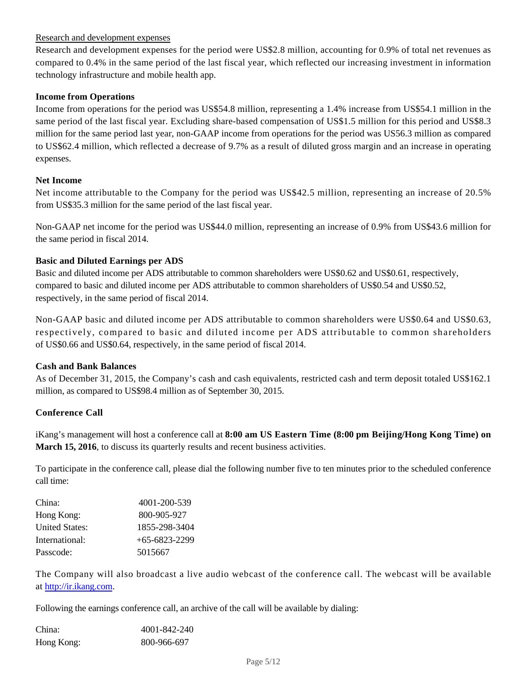### Research and development expenses

Research and development expenses for the period were US\$2.8 million, accounting for 0.9% of total net revenues as compared to 0.4% in the same period of the last fiscal year, which reflected our increasing investment in information technology infrastructure and mobile health app.

#### **Income from Operations**

Income from operations for the period was US\$54.8 million, representing a 1.4% increase from US\$54.1 million in the same period of the last fiscal year. Excluding share-based compensation of US\$1.5 million for this period and US\$8.3 million for the same period last year, non-GAAP income from operations for the period was US56.3 million as compared to US\$62.4 million, which reflected a decrease of 9.7% as a result of diluted gross margin and an increase in operating expenses.

#### **Net Income**

Net income attributable to the Company for the period was US\$42.5 million, representing an increase of 20.5% from US\$35.3 million for the same period of the last fiscal year.

Non-GAAP net income for the period was US\$44.0 million, representing an increase of 0.9% from US\$43.6 million for the same period in fiscal 2014.

#### **Basic and Diluted Earnings per ADS**

Basic and diluted income per ADS attributable to common shareholders were US\$0.62 and US\$0.61, respectively, compared to basic and diluted income per ADS attributable to common shareholders of US\$0.54 and US\$0.52, respectively, in the same period of fiscal 2014.

Non-GAAP basic and diluted income per ADS attributable to common shareholders were US\$0.64 and US\$0.63, respectively, compared to basic and diluted income per ADS attributable to common shareholders of US\$0.66 and US\$0.64, respectively, in the same period of fiscal 2014.

#### **Cash and Bank Balances**

As of December 31, 2015, the Company's cash and cash equivalents, restricted cash and term deposit totaled US\$162.1 million, as compared to US\$98.4 million as of September 30, 2015.

#### **Conference Call**

iKang's management will host a conference call at **8:00 am US Eastern Time (8:00 pm Beijing/Hong Kong Time) on March 15, 2016**, to discuss its quarterly results and recent business activities.

To participate in the conference call, please dial the following number five to ten minutes prior to the scheduled conference call time:

| China:                | 4001-200-539    |
|-----------------------|-----------------|
| Hong Kong:            | 800-905-927     |
| <b>United States:</b> | 1855-298-3404   |
| International:        | $+65-6823-2299$ |
| Passcode:             | 5015667         |

The Company will also broadcast a live audio webcast of the conference call. The webcast will be available at http://ir.ikang.com.

Following the earnings conference call, an archive of the call will be available by dialing:

| China:     | 4001-842-240 |
|------------|--------------|
| Hong Kong: | 800-966-697  |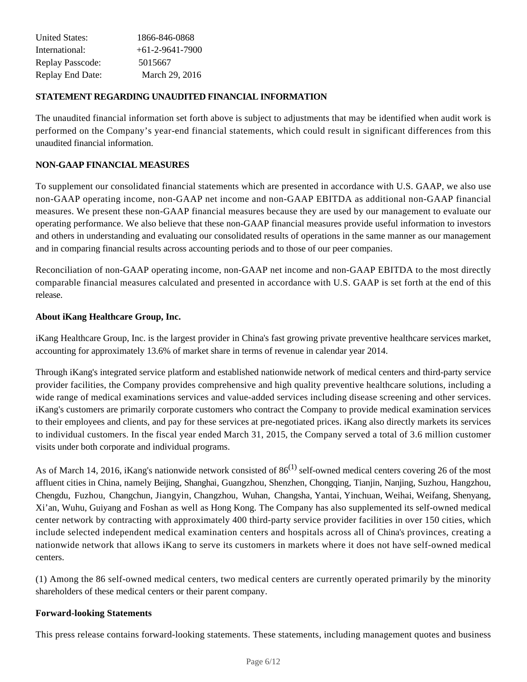| <b>United States:</b>   | 1866-846-0868     |
|-------------------------|-------------------|
| International:          | $+61-2-9641-7900$ |
| <b>Replay Passcode:</b> | 5015667           |
| <b>Replay End Date:</b> | March 29, 2016    |

### **STATEMENT REGARDING UNAUDITED FINANCIAL INFORMATION**

The unaudited financial information set forth above is subject to adjustments that may be identified when audit work is performed on the Company's year-end financial statements, which could result in significant differences from this unaudited financial information.

### **NON-GAAP FINANCIAL MEASURES**

To supplement our consolidated financial statements which are presented in accordance with U.S. GAAP, we also use non-GAAP operating income, non-GAAP net income and non-GAAP EBITDA as additional non-GAAP financial measures. We present these non-GAAP financial measures because they are used by our management to evaluate our operating performance. We also believe that these non-GAAP financial measures provide useful information to investors and others in understanding and evaluating our consolidated results of operations in the same manner as our management and in comparing financial results across accounting periods and to those of our peer companies.

Reconciliation of non-GAAP operating income, non-GAAP net income and non-GAAP EBITDA to the most directly comparable financial measures calculated and presented in accordance with U.S. GAAP is set forth at the end of this release.

#### **About iKang Healthcare Group, Inc.**

iKang Healthcare Group, Inc. is the largest provider in China's fast growing private preventive healthcare services market, accounting for approximately 13.6% of market share in terms of revenue in calendar year 2014.

Through iKang's integrated service platform and established nationwide network of medical centers and third-party service provider facilities, the Company provides comprehensive and high quality preventive healthcare solutions, including a wide range of medical examinations services and value-added services including disease screening and other services. iKang's customers are primarily corporate customers who contract the Company to provide medical examination services to their employees and clients, and pay for these services at pre-negotiated prices. iKang also directly markets its services to individual customers. In the fiscal year ended March 31, 2015, the Company served a total of 3.6 million customer visits under both corporate and individual programs.

As of March 14, 2016, iKang's nationwide network consisted of  $86^{(1)}$  self-owned medical centers covering 26 of the most affluent cities in China, namely Beijing, Shanghai, Guangzhou, Shenzhen, Chongqing, Tianjin, Nanjing, Suzhou, Hangzhou, Chengdu, Fuzhou, Changchun, Jiangyin, Changzhou, Wuhan, Changsha, Yantai, Yinchuan, Weihai, Weifang, Shenyang, Xi'an, Wuhu, Guiyang and Foshan as well as Hong Kong. The Company has also supplemented its self-owned medical center network by contracting with approximately 400 third-party service provider facilities in over 150 cities, which include selected independent medical examination centers and hospitals across all of China's provinces, creating a nationwide network that allows iKang to serve its customers in markets where it does not have self-owned medical centers.

(1) Among the 86 self-owned medical centers, two medical centers are currently operated primarily by the minority shareholders of these medical centers or their parent company.

#### **Forward-looking Statements**

This press release contains forward-looking statements. These statements, including management quotes and business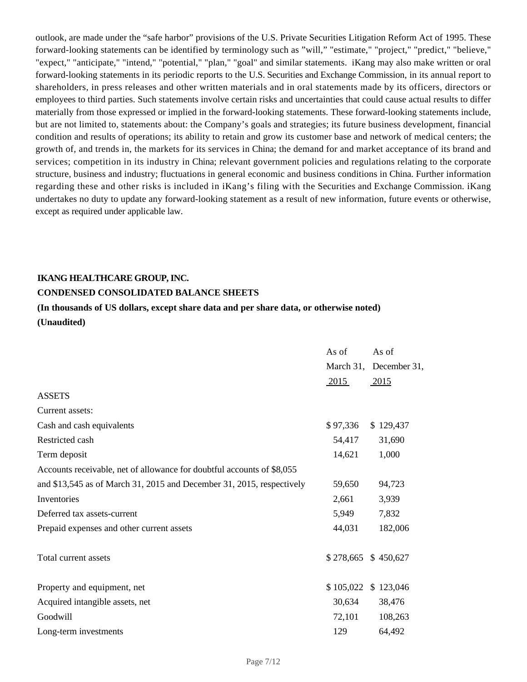outlook, are made under the "safe harbor" provisions of the U.S. Private Securities Litigation Reform Act of 1995. These forward-looking statements can be identified by terminology such as "will," "estimate," "project," "predict," "believe," "expect," "anticipate," "intend," "potential," "plan," "goal" and similar statements. iKang may also make written or oral forward-looking statements in its periodic reports to the U.S. Securities and Exchange Commission, in its annual report to shareholders, in press releases and other written materials and in oral statements made by its officers, directors or employees to third parties. Such statements involve certain risks and uncertainties that could cause actual results to differ materially from those expressed or implied in the forward-looking statements. These forward-looking statements include, but are not limited to, statements about: the Company's goals and strategies; its future business development, financial condition and results of operations; its ability to retain and grow its customer base and network of medical centers; the growth of, and trends in, the markets for its services in China; the demand for and market acceptance of its brand and services; competition in its industry in China; relevant government policies and regulations relating to the corporate structure, business and industry; fluctuations in general economic and business conditions in China. Further information regarding these and other risks is included in iKang's filing with the Securities and Exchange Commission. iKang undertakes no duty to update any forward-looking statement as a result of new information, future events or otherwise, except as required under applicable law.

#### **IKANG HEALTHCARE GROUP, INC.**

#### **CONDENSED CONSOLIDATED BALANCE SHEETS**

# **(In thousands of US dollars, except share data and per share data, or otherwise noted) (Unaudited)**

|                                                                        | As of     | As of                  |
|------------------------------------------------------------------------|-----------|------------------------|
|                                                                        |           | March 31, December 31, |
|                                                                        | 2015      | $-2015$                |
| <b>ASSETS</b>                                                          |           |                        |
| Current assets:                                                        |           |                        |
| Cash and cash equivalents                                              | \$97,336  | \$129,437              |
| Restricted cash                                                        | 54,417    | 31,690                 |
| Term deposit                                                           | 14,621    | 1,000                  |
| Accounts receivable, net of allowance for doubtful accounts of \$8,055 |           |                        |
| and \$13,545 as of March 31, 2015 and December 31, 2015, respectively  | 59,650    | 94,723                 |
| Inventories                                                            | 2,661     | 3,939                  |
| Deferred tax assets-current                                            | 5,949     | 7,832                  |
| Prepaid expenses and other current assets                              | 44,031    | 182,006                |
| Total current assets                                                   | \$278,665 | \$450,627              |
| Property and equipment, net                                            | \$105,022 | \$123,046              |
| Acquired intangible assets, net                                        | 30,634    | 38,476                 |
| Goodwill                                                               | 72,101    | 108,263                |
| Long-term investments                                                  | 129       | 64,492                 |
|                                                                        |           |                        |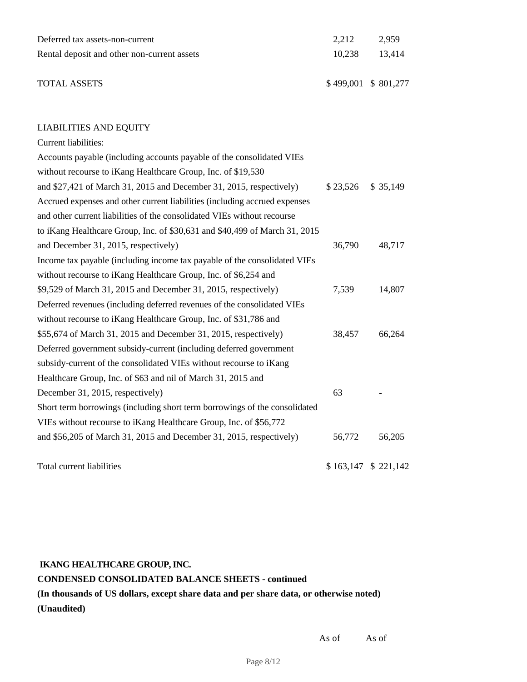| Deferred tax assets-non-current             | 2.212                 | 2.959         |
|---------------------------------------------|-----------------------|---------------|
| Rental deposit and other non-current assets |                       | 10.238 13.414 |
| <b>TOTAL ASSETS</b>                         | $$499,001$ $$801,277$ |               |

### LIABILITIES AND EQUITY

| Current liabilities:                                                       |          |                       |
|----------------------------------------------------------------------------|----------|-----------------------|
| Accounts payable (including accounts payable of the consolidated VIEs      |          |                       |
| without recourse to iKang Healthcare Group, Inc. of \$19,530               |          |                       |
| and \$27,421 of March 31, 2015 and December 31, 2015, respectively)        | \$23,526 | \$35,149              |
| Accrued expenses and other current liabilities (including accrued expenses |          |                       |
| and other current liabilities of the consolidated VIEs without recourse    |          |                       |
| to iKang Healthcare Group, Inc. of \$30,631 and \$40,499 of March 31, 2015 |          |                       |
| and December 31, 2015, respectively)                                       | 36,790   | 48,717                |
| Income tax payable (including income tax payable of the consolidated VIEs  |          |                       |
| without recourse to iKang Healthcare Group, Inc. of \$6,254 and            |          |                       |
| \$9,529 of March 31, 2015 and December 31, 2015, respectively)             | 7,539    | 14,807                |
| Deferred revenues (including deferred revenues of the consolidated VIEs    |          |                       |
| without recourse to iKang Healthcare Group, Inc. of \$31,786 and           |          |                       |
| \$55,674 of March 31, 2015 and December 31, 2015, respectively)            | 38,457   | 66,264                |
| Deferred government subsidy-current (including deferred government         |          |                       |
| subsidy-current of the consolidated VIEs without recourse to iKang         |          |                       |
| Healthcare Group, Inc. of \$63 and nil of March 31, 2015 and               |          |                       |
| December 31, 2015, respectively)                                           | 63       |                       |
| Short term borrowings (including short term borrowings of the consolidated |          |                       |
| VIEs without recourse to iKang Healthcare Group, Inc. of \$56,772          |          |                       |
| and \$56,205 of March 31, 2015 and December 31, 2015, respectively)        | 56,772   | 56,205                |
| Total current liabilities                                                  |          | $$163,147$ $$221,142$ |

# **IKANG HEALTHCARE GROUP, INC.**

# **CONDENSED CONSOLIDATED BALANCE SHEETS - continued (In thousands of US dollars, except share data and per share data, or otherwise noted) (Unaudited)**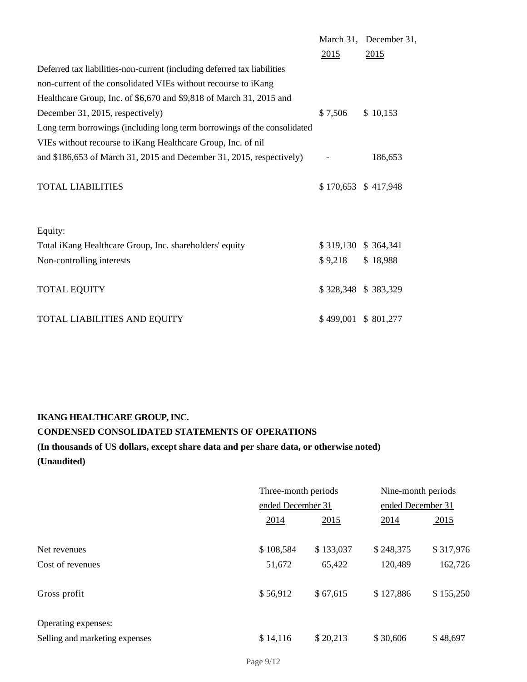|                                                                          |                     | March 31, December 31, |
|--------------------------------------------------------------------------|---------------------|------------------------|
|                                                                          | 2015                | 2015                   |
| Deferred tax liabilities-non-current (including deferred tax liabilities |                     |                        |
| non-current of the consolidated VIEs without recourse to iKang           |                     |                        |
| Healthcare Group, Inc. of \$6,670 and \$9,818 of March 31, 2015 and      |                     |                        |
| December 31, 2015, respectively)                                         | \$7,506             | \$10,153               |
| Long term borrowings (including long term borrowings of the consolidated |                     |                        |
| VIEs without recourse to iKang Healthcare Group, Inc. of nil             |                     |                        |
| and $$186,653$ of March 31, 2015 and December 31, 2015, respectively)    |                     | 186,653                |
|                                                                          |                     |                        |
| <b>TOTAL LIABILITIES</b>                                                 |                     | $$170,653$ $$417,948$  |
|                                                                          |                     |                        |
|                                                                          |                     |                        |
| Equity:                                                                  |                     |                        |
| Total iKang Healthcare Group, Inc. shareholders' equity                  | \$319,130 \$364,341 |                        |
| Non-controlling interests                                                | \$9,218             | \$18,988               |
|                                                                          |                     |                        |
| <b>TOTAL EQUITY</b>                                                      |                     | \$328,348 \$383,329    |
|                                                                          |                     |                        |
| TOTAL LIABILITIES AND EQUITY                                             |                     | \$499,001 \$801,277    |

# **IKANG HEALTHCARE GROUP, INC.**

# **CONDENSED CONSOLIDATED STATEMENTS OF OPERATIONS**

# **(In thousands of US dollars, except share data and per share data, or otherwise noted)**

**(Unaudited)**

|                                                       | Three-month periods<br>ended December 31 |           | Nine-month periods<br>ended December 31 |           |
|-------------------------------------------------------|------------------------------------------|-----------|-----------------------------------------|-----------|
|                                                       |                                          |           |                                         |           |
|                                                       | 2014                                     | 2015      | 2014                                    | 2015      |
| Net revenues                                          | \$108,584                                | \$133,037 | \$248,375                               | \$317,976 |
| Cost of revenues                                      | 51,672                                   | 65,422    | 120,489                                 | 162,726   |
| Gross profit                                          | \$56,912                                 | \$67,615  | \$127,886                               | \$155,250 |
| Operating expenses:<br>Selling and marketing expenses | \$14,116                                 | \$20,213  | \$30,606                                | \$48,697  |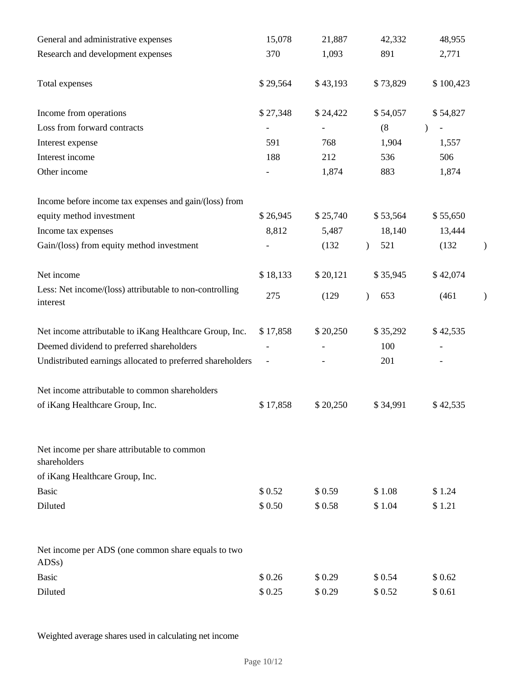| General and administrative expenses                                      | 15,078   | 21,887   | 42,332           | 48,955        |               |
|--------------------------------------------------------------------------|----------|----------|------------------|---------------|---------------|
| Research and development expenses                                        | 370      | 1,093    | 891              | 2,771         |               |
| Total expenses                                                           | \$29,564 | \$43,193 | \$73,829         | \$100,423     |               |
| Income from operations                                                   | \$27,348 | \$24,422 | \$54,057         | \$54,827      |               |
| Loss from forward contracts                                              |          |          | (8)              | $\mathcal{E}$ |               |
| Interest expense                                                         | 591      | 768      | 1,904            | 1,557         |               |
| Interest income                                                          | 188      | 212      | 536              | 506           |               |
| Other income                                                             |          | 1,874    | 883              | 1,874         |               |
| Income before income tax expenses and gain/(loss) from                   |          |          |                  |               |               |
| equity method investment                                                 | \$26,945 | \$25,740 | \$53,564         | \$55,650      |               |
| Income tax expenses                                                      | 8,812    | 5,487    | 18,140           | 13,444        |               |
| Gain/(loss) from equity method investment                                |          | (132)    | 521<br>$\lambda$ | (132)         | $\mathcal{Y}$ |
| Net income                                                               | \$18,133 | \$20,121 | \$35,945         | \$42,074      |               |
| Less: Net income/(loss) attributable to non-controlling<br>interest      | 275      | (129)    | 653<br>$\lambda$ | (461)         | $\mathcal{E}$ |
| Net income attributable to iKang Healthcare Group, Inc.                  | \$17,858 | \$20,250 | \$35,292         | \$42,535      |               |
| Deemed dividend to preferred shareholders                                |          |          | 100              |               |               |
| Undistributed earnings allocated to preferred shareholders               |          |          | 201              |               |               |
| Net income attributable to common shareholders                           |          |          |                  |               |               |
| of iKang Healthcare Group, Inc.                                          | \$17,858 | \$20,250 | \$34,991         | \$42,535      |               |
| Net income per share attributable to common<br>shareholders              |          |          |                  |               |               |
| of iKang Healthcare Group, Inc.                                          |          |          |                  |               |               |
| <b>Basic</b>                                                             | \$0.52   | \$0.59   | \$1.08           | \$1.24        |               |
| Diluted                                                                  | \$0.50   | \$0.58   | \$1.04           | \$1.21        |               |
| Net income per ADS (one common share equals to two<br>ADS <sub>s</sub> ) |          |          |                  |               |               |
| <b>Basic</b>                                                             | \$0.26   | \$0.29   | \$0.54           | \$0.62        |               |
| Diluted                                                                  | \$0.25   | \$0.29   | \$0.52           | \$0.61        |               |

Weighted average shares used in calculating net income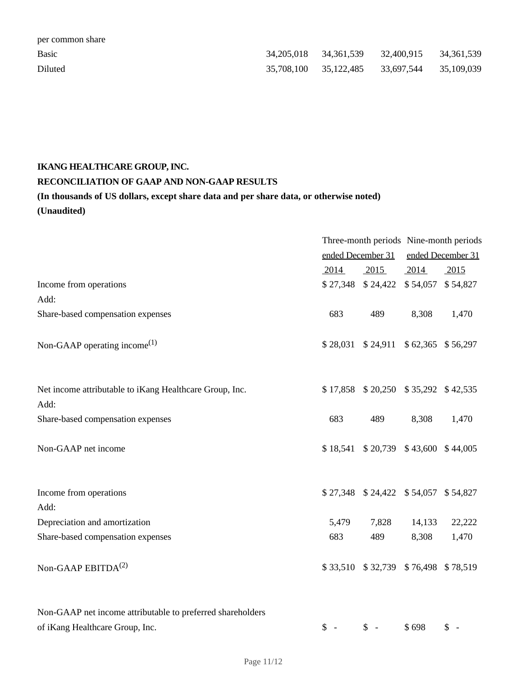| per common share |                       |                       |  |
|------------------|-----------------------|-----------------------|--|
| <b>Basic</b>     |                       |                       |  |
| Diluted          | 35,708,100 35,122,485 | 33,697,544 35,109,039 |  |

# **IKANG HEALTHCARE GROUP, INC. RECONCILIATION OF GAAP AND NON-GAAP RESULTS (In thousands of US dollars, except share data and per share data, or otherwise noted) (Unaudited)**

|                                                                 |                   |                                         | Three-month periods Nine-month periods |                |
|-----------------------------------------------------------------|-------------------|-----------------------------------------|----------------------------------------|----------------|
|                                                                 | ended December 31 |                                         | ended December 31                      |                |
|                                                                 | 2014              | 2015                                    | 2014                                   | 2015           |
| Income from operations                                          |                   | \$27,348 \$24,422 \$54,057 \$54,827     |                                        |                |
| Add:                                                            |                   |                                         |                                        |                |
| Share-based compensation expenses                               | 683               | 489                                     | 8,308                                  | 1,470          |
| Non-GAAP operating income <sup>(1)</sup>                        |                   | \$28,031 \$24,911 \$62,365 \$56,297     |                                        |                |
| Net income attributable to iKang Healthcare Group, Inc.<br>Add: |                   | \$17,858 \$20,250 \$35,292 \$42,535     |                                        |                |
| Share-based compensation expenses                               | 683               | 489                                     | 8,308                                  | 1,470          |
| Non-GAAP net income                                             |                   | $$18,541$ $$20,739$ $$43,600$ $$44,005$ |                                        |                |
| Income from operations<br>Add:                                  |                   | \$27,348 \$24,422 \$54,057 \$54,827     |                                        |                |
| Depreciation and amortization                                   | 5,479             | 7,828                                   | 14,133                                 | 22,222         |
| Share-based compensation expenses                               | 683               | 489                                     | 8,308                                  | 1,470          |
| Non-GAAP EBITDA <sup>(2)</sup>                                  |                   | \$33,510 \$32,739 \$76,498 \$78,519     |                                        |                |
| Non-GAAP net income attributable to preferred shareholders      |                   |                                         |                                        |                |
| of iKang Healthcare Group, Inc.                                 | $S -$             | $\int$ 5 -                              | \$698                                  | $\mathbb{S}$ - |